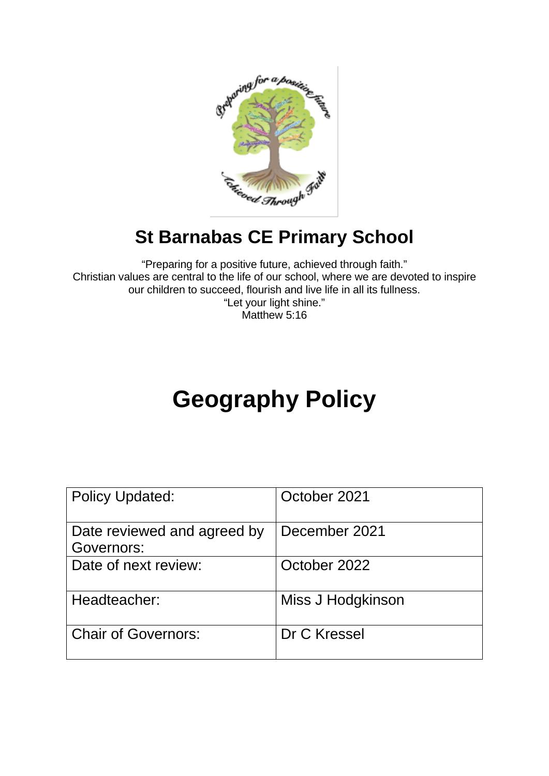

# **St Barnabas CE Primary School**

"Preparing for a positive future, achieved through faith." Christian values are central to the life of our school, where we are devoted to inspire our children to succeed, flourish and live life in all its fullness. "Let your light shine." Matthew 5:16

# **Geography Policy**

| <b>Policy Updated:</b>                    | October 2021      |
|-------------------------------------------|-------------------|
| Date reviewed and agreed by<br>Governors: | December 2021     |
| Date of next review:                      | October 2022      |
| Headteacher:                              | Miss J Hodgkinson |
| <b>Chair of Governors:</b>                | Dr C Kressel      |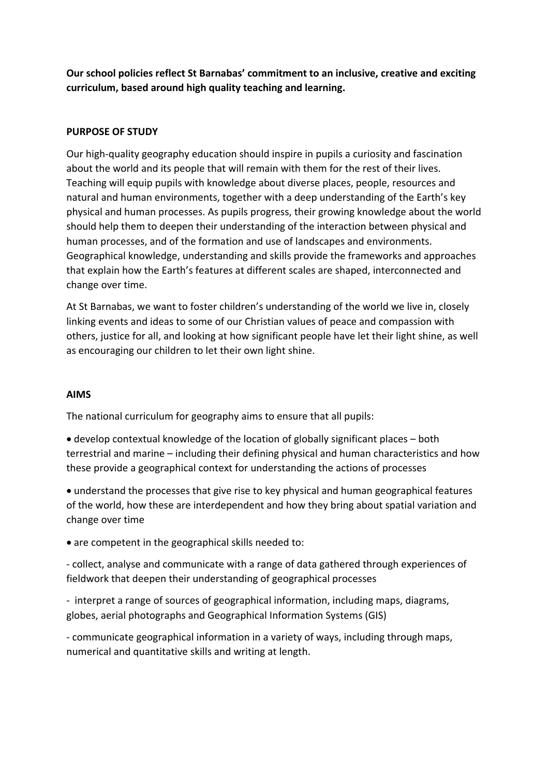**Our school policies reflect St Barnabas' commitment to an inclusive, creative and exciting curriculum, based around high quality teaching and learning.**

#### **PURPOSE OF STUDY**

Our high-quality geography education should inspire in pupils a curiosity and fascination about the world and its people that will remain with them for the rest of their lives. Teaching will equip pupils with knowledge about diverse places, people, resources and natural and human environments, together with a deep understanding of the Earth's key physical and human processes. As pupils progress, their growing knowledge about the world should help them to deepen their understanding of the interaction between physical and human processes, and of the formation and use of landscapes and environments. Geographical knowledge, understanding and skills provide the frameworks and approaches that explain how the Earth's features at different scales are shaped, interconnected and change over time.

At St Barnabas, we want to foster children's understanding of the world we live in, closely linking events and ideas to some of our Christian values of peace and compassion with others, justice for all, and looking at how significant people have let their light shine, as well as encouraging our children to let their own light shine.

#### **AIMS**

The national curriculum for geography aims to ensure that all pupils:

- develop contextual knowledge of the location of globally significant places both terrestrial and marine – including their defining physical and human characteristics and how these provide a geographical context for understanding the actions of processes
- understand the processes that give rise to key physical and human geographical features of the world, how these are interdependent and how they bring about spatial variation and change over time
- are competent in the geographical skills needed to:

- collect, analyse and communicate with a range of data gathered through experiences of fieldwork that deepen their understanding of geographical processes

- interpret a range of sources of geographical information, including maps, diagrams, globes, aerial photographs and Geographical Information Systems (GIS)

- communicate geographical information in a variety of ways, including through maps, numerical and quantitative skills and writing at length.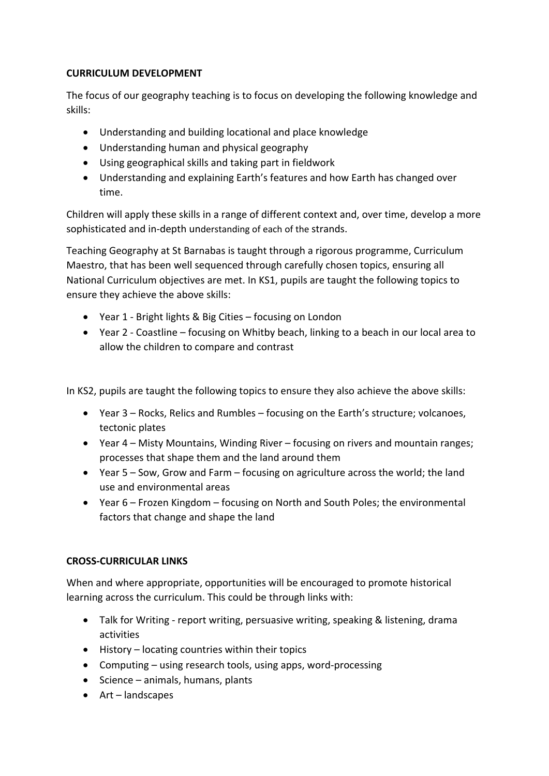### **CURRICULUM DEVELOPMENT**

The focus of our geography teaching is to focus on developing the following knowledge and skills:

- Understanding and building locational and place knowledge
- Understanding human and physical geography
- Using geographical skills and taking part in fieldwork
- Understanding and explaining Earth's features and how Earth has changed over time.

Children will apply these skills in a range of different context and, over time, develop a more sophisticated and in-depth understanding of each of the strands.

Teaching Geography at St Barnabas is taught through a rigorous programme, Curriculum Maestro, that has been well sequenced through carefully chosen topics, ensuring all National Curriculum objectives are met. In KS1, pupils are taught the following topics to ensure they achieve the above skills:

- Year 1 Bright lights & Big Cities focusing on London
- Year 2 Coastline focusing on Whitby beach, linking to a beach in our local area to allow the children to compare and contrast

In KS2, pupils are taught the following topics to ensure they also achieve the above skills:

- Year 3 Rocks, Relics and Rumbles focusing on the Earth's structure; volcanoes, tectonic plates
- Year 4 Misty Mountains, Winding River focusing on rivers and mountain ranges; processes that shape them and the land around them
- Year 5 Sow, Grow and Farm focusing on agriculture across the world; the land use and environmental areas
- Year 6 Frozen Kingdom focusing on North and South Poles; the environmental factors that change and shape the land

## **CROSS-CURRICULAR LINKS**

When and where appropriate, opportunities will be encouraged to promote historical learning across the curriculum. This could be through links with:

- Talk for Writing report writing, persuasive writing, speaking & listening, drama activities
- History locating countries within their topics
- Computing using research tools, using apps, word-processing
- Science animals, humans, plants
- Art landscapes